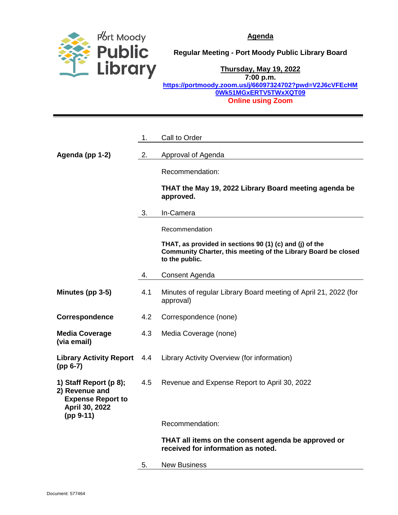

**Regular Meeting - Port Moody Public Library Board**

**Thursday, May 19, 2022**

**7:00 p.m. [https://portmoody.zoom.us/j/66097324702?pwd=V2J6cVFEcHM](https://portmoody.zoom.us/j/66097324702?pwd=V2J6cVFEcHM0Wk51MGxERTV5TWxXQT09) [0Wk51MGxERTV5TWxXQT09](https://portmoody.zoom.us/j/66097324702?pwd=V2J6cVFEcHM0Wk51MGxERTV5TWxXQT09) Online using Zoom**

|                                                                                                       | 1.  | Call to Order                                                                                                                               |
|-------------------------------------------------------------------------------------------------------|-----|---------------------------------------------------------------------------------------------------------------------------------------------|
| Agenda (pp 1-2)                                                                                       | 2.  | Approval of Agenda                                                                                                                          |
|                                                                                                       |     | Recommendation:                                                                                                                             |
|                                                                                                       |     | THAT the May 19, 2022 Library Board meeting agenda be<br>approved.                                                                          |
|                                                                                                       | 3.  | In-Camera                                                                                                                                   |
|                                                                                                       |     | Recommendation                                                                                                                              |
|                                                                                                       |     | THAT, as provided in sections 90 (1) (c) and (j) of the<br>Community Charter, this meeting of the Library Board be closed<br>to the public. |
|                                                                                                       | 4.  | Consent Agenda                                                                                                                              |
| Minutes (pp 3-5)                                                                                      | 4.1 | Minutes of regular Library Board meeting of April 21, 2022 (for<br>approval)                                                                |
| Correspondence                                                                                        | 4.2 | Correspondence (none)                                                                                                                       |
| <b>Media Coverage</b><br>(via email)                                                                  | 4.3 | Media Coverage (none)                                                                                                                       |
| <b>Library Activity Report</b><br>$(pp 6-7)$                                                          | 4.4 | Library Activity Overview (for information)                                                                                                 |
| 1) Staff Report (p 8);<br>2) Revenue and<br><b>Expense Report to</b><br>April 30, 2022<br>$(pp 9-11)$ | 4.5 | Revenue and Expense Report to April 30, 2022                                                                                                |
|                                                                                                       |     | Recommendation:                                                                                                                             |
|                                                                                                       |     | THAT all items on the consent agenda be approved or<br>received for information as noted.                                                   |
|                                                                                                       | 5.  | <b>New Business</b>                                                                                                                         |